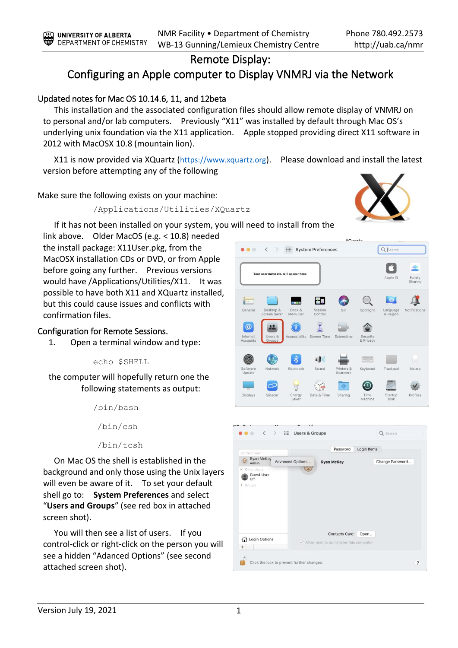## Remote Display:

## Configuring an Apple computer to Display VNMRJ via the Network

## Updated notes for Mac OS 10.14.6, 11, and 12beta

This installation and the associated configuration files should allow remote display of VNMRJ on to personal and/or lab computers. Previously "X11" was installed by default through Mac OS's underlying unix foundation via the X11 application. Apple stopped providing direct X11 software in 2012 with MacOSX 10.8 (mountain lion).

X11 is now provided via XQuartz ([https://www.xquartz.org](https://www.xquartz.org/)). Please download and install the latest version before attempting any of the following

Make sure the following exists on your machine:

/Applications/Utilities/XQuartz



If it has not been installed on your system, you will need to install from the

link above. Older MacOS (e.g. < 10.8) needed the install package: X11User.pkg, from the MacOSX installation CDs or DVD, or from Apple before going any further. Previous versions would have /Applications/Utilities/X11. It was possible to have both X11 and XQuartz installed, but this could cause issues and conflicts with confirmation files.

## Configuration for Remote Sessions.

1. Open a terminal window and type:

echo \$SHELL

the computer will hopefully return one the following statements as output:

> /bin/bash /bin/csh

/bin/tcsh

On Mac OS the shell is established in the background and only those using the Unix layers will even be aware of it. To set your default shell go to: **System Preferences** and select "**Users and Groups**" (see red box in attached screen shot).

You will then see a list of users. If you control-click or right-click on the person you will see a hidden "Adanced Options" (see second attached screen shot).



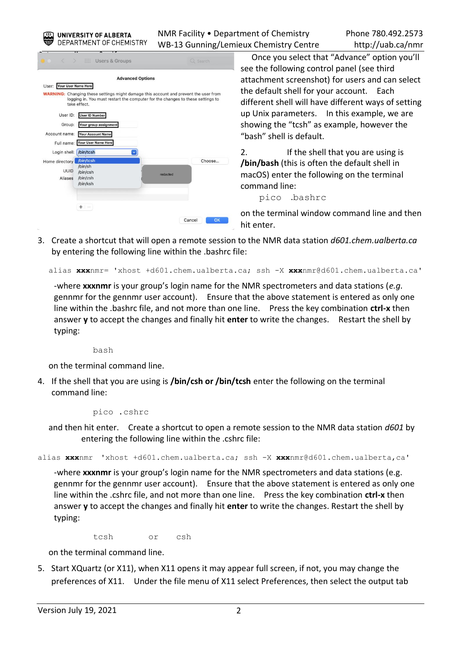UNIVERSITY OF ALBERTA DEPARTMENT OF CHEMISTRY NMR Facility • Department of Chemistry Phone 780.492.2573 WB-13 Gunning/Lemieux Chemistry Centre http://uab.ca/nmr

|                              |                                                                                                                                                                                               | <b>Advanced Options</b> |        |
|------------------------------|-----------------------------------------------------------------------------------------------------------------------------------------------------------------------------------------------|-------------------------|--------|
| Your User Name Here<br>User: |                                                                                                                                                                                               |                         |        |
|                              | <b>WARNING:</b> Changing these settings might damage this account and prevent the user from<br>logging in. You must restart the computer for the changes to these settings to<br>take effect. |                         |        |
| User ID:                     | <b>User ID Number</b>                                                                                                                                                                         |                         |        |
| Group:                       | Your group assignment                                                                                                                                                                         |                         |        |
| Account name:                | <b>Your Account Name</b>                                                                                                                                                                      |                         |        |
| Full name:                   | <b>Your User Name Here</b>                                                                                                                                                                    |                         |        |
| Login shell:                 | /bin/tcsh<br>$\ddot{\phantom{1}}$                                                                                                                                                             |                         |        |
| Home directory               | /bin/tcsh                                                                                                                                                                                     |                         | Choose |
| <b>UUID</b>                  | /bin/sh<br>/bin/csh                                                                                                                                                                           |                         |        |
| Aliases                      | /bin/zsh                                                                                                                                                                                      | redacted                |        |
|                              | /bin/ksh                                                                                                                                                                                      |                         |        |
|                              |                                                                                                                                                                                               |                         |        |
|                              |                                                                                                                                                                                               |                         |        |
|                              |                                                                                                                                                                                               |                         |        |

Once you select that "Advance" option you'll see the following control panel (see third attachment screenshot) for users and can select the default shell for your account. Each different shell will have different ways of setting up Unix parameters. In this example, we are showing the "tcsh" as example, however the "bash" shell is default.

2. If the shell that you are using is **/bin/bash** (this is often the default shell in macOS) enter the following on the terminal command line:

pico .bashrc

on the terminal window command line and then hit enter.

3. Create a shortcut that will open a remote session to the NMR data station *d601.chem.ualberta.ca* by entering the following line within the .bashrc file:

alias **xxx**nmr= 'xhost +d601.chem.ualberta.ca; ssh -X **xxx**nmr@d601.chem.ualberta.ca'

-where **xxxnmr** is your group's login name for the NMR spectrometers and data stations (*e.g.* gennmr for the gennmr user account). Ensure that the above statement is entered as only one line within the .bashrc file, and not more than one line. Press the key combination **ctrl-x** then answer **y** to accept the changes and finally hit **enter** to write the changes. Restart the shell by typing:

bash

on the terminal command line.

4. If the shell that you are using is **/bin/csh or /bin/tcsh** enter the following on the terminal command line:

pico .cshrc

and then hit enter. Create a shortcut to open a remote session to the NMR data station *d601* by entering the following line within the .cshrc file:

alias **xxx**nmr 'xhost +d601.chem.ualberta.ca; ssh -X **xxx**nmr@d601.chem.ualberta,ca'

-where **xxxnmr** is your group's login name for the NMR spectrometers and data stations (e.g. gennmr for the gennmr user account). Ensure that the above statement is entered as only one line within the .cshrc file, and not more than one line. Press the key combination **ctrl-x** then answer **y** to accept the changes and finally hit **enter** to write the changes. Restart the shell by typing:

tcsh or csh

on the terminal command line.

5. Start XQuartz (or X11), when X11 opens it may appear full screen, if not, you may change the preferences of X11. Under the file menu of X11 select Preferences, then select the output tab